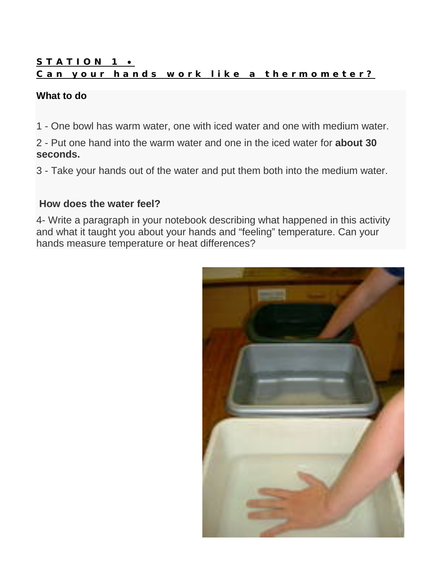## STATION 1 . Can your hands work like a thermometer?

### **What to do**

1 - One bowl has warm water, one with iced water and one with medium water.

2 - Put one hand into the warm water and one in the iced water for **about 30 seconds.**

3 - Take your hands out of the water and put them both into the medium water.

### **How does the water feel?**

4- Write a paragraph in your notebook describing what happened in this activity and what it taught you about your hands and "feeling" temperature. Can your hands measure temperature or heat differences?

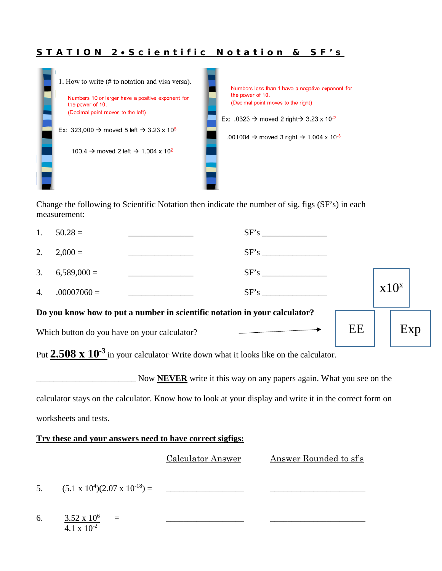#### STATION 2.Scientific Notation & SF's



Change the following to Scientific Notation then indicate the number of sig. figs (SF's) in each measurement:

| Which button do you have on your calculator?                               |               |  |      | Exp |           |  |
|----------------------------------------------------------------------------|---------------|--|------|-----|-----------|--|
| Do you know how to put a number in scientific notation in your calculator? |               |  |      | EE  |           |  |
| $\overline{4}$ .                                                           | $.00007060 =$ |  | SF's |     | $x10^{x}$ |  |
| 3.                                                                         | $6,589,000 =$ |  |      |     |           |  |
| 2.                                                                         | $2,000 =$     |  | SF's |     |           |  |
| 1.                                                                         | $50.28 =$     |  | SF's |     |           |  |

Put **2.508 x 10<sup>-3</sup>** in your calculator. Write down what it looks like on the calculator.

Now **NEVER** write it this way on any papers again. What you see on the

calculator stays on the calculator. Know how to look at your display and write it in the correct form on

worksheets and tests.

#### **Try these and your answers need to have correct sigfigs:**

Calculator Answer Answer Rounded to sf's

5. (5.1 x 104 )(2.07 x 10-18) = \_\_\_\_\_\_\_\_\_\_\_\_\_\_\_\_\_\_ \_\_\_\_\_\_\_\_\_\_\_\_\_\_\_\_\_\_\_\_\_\_

6. 3.52 x 106 = \_\_\_\_\_\_\_\_\_\_\_\_\_\_\_\_\_\_ \_\_\_\_\_\_\_\_\_\_\_\_\_\_\_\_\_\_\_\_\_\_  $\frac{1}{4.1 \times 10^{-2}}$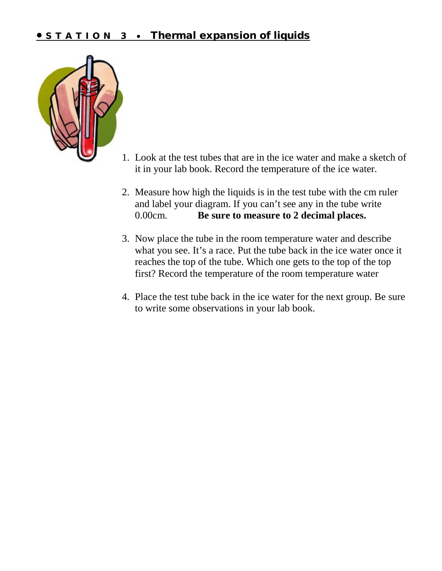## • STATION 3 • Thermal expansion of liquids



- 1. Look at the test tubes that are in the ice water and make a sketch of it in your lab book. Record the temperature of the ice water.
- 2. Measure how high the liquids is in the test tube with the cm ruler and label your diagram. If you can't see any in the tube write 0.00cm. **Be sure to measure to 2 decimal places.**
- 3. Now place the tube in the room temperature water and describe what you see. It's a race. Put the tube back in the ice water once it reaches the top of the tube. Which one gets to the top of the top first? Record the temperature of the room temperature water
- 4. Place the test tube back in the ice water for the next group. Be sure to write some observations in your lab book.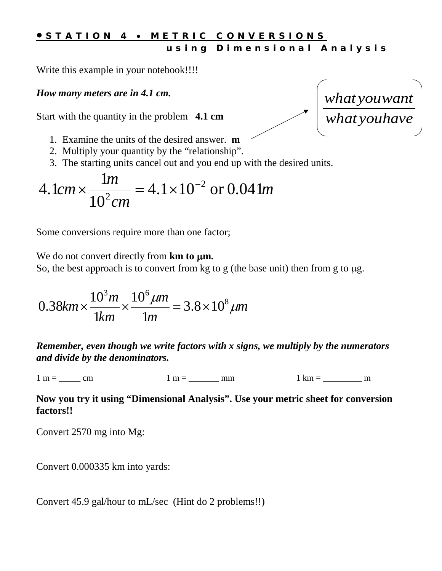## • STATION <sup>4</sup> • METRIC CONVERSIONS using Dimensional Analysis

Write this example in your notebook!!!!

## *How many meters are in 4.1 cm.*

Start with the quantity in the problem **4.1 cm** 



- 1. Examine the units of the desired answer. **m**
- 2. Multiply your quantity by the "relationship".
- 3. The starting units cancel out and you end up with the desired units.

$$
4.1cm \times \frac{1m}{10^2 cm} = 4.1 \times 10^{-2} \text{ or } 0.041m
$$

Some conversions require more than one factor;

We do not convert directly from **km** to  $\mu$ m.

So, the best approach is to convert from kg to g (the base unit) then from g to  $\mu$ g.

$$
0.38km \times \frac{10^3m}{1km} \times \frac{10^6 \mu m}{1m} = 3.8 \times 10^8 \mu m
$$

*Remember, even though we write factors with x signs, we multiply by the numerators and divide by the denominators.* 

 $1 m =$  cm  $1 m =$  mm  $1 km =$  m

#### **Now you try it using "Dimensional Analysis". Use your metric sheet for conversion factors!!**

Convert 2570 mg into Mg:

Convert 0.000335 km into yards:

Convert 45.9 gal/hour to mL/sec (Hint do 2 problems!!)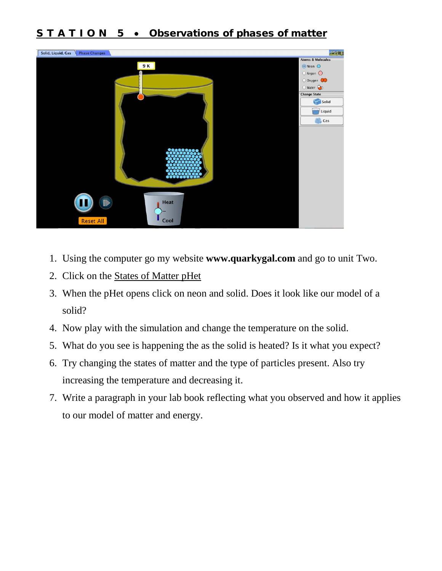# STATION 5 • Observations of phases of matter



- 1. Using the computer go my website **www.quarkygal.com** and go to unit Two.
- 2. Click on the [States of Matter pHet](https://phet.colorado.edu/en/simulation/states-of-matter)
- 3. When the pHet opens click on neon and solid. Does it look like our model of a solid?
- 4. Now play with the simulation and change the temperature on the solid.
- 5. What do you see is happening the as the solid is heated? Is it what you expect?
- 6. Try changing the states of matter and the type of particles present. Also try increasing the temperature and decreasing it.
- 7. Write a paragraph in your lab book reflecting what you observed and how it applies to our model of matter and energy.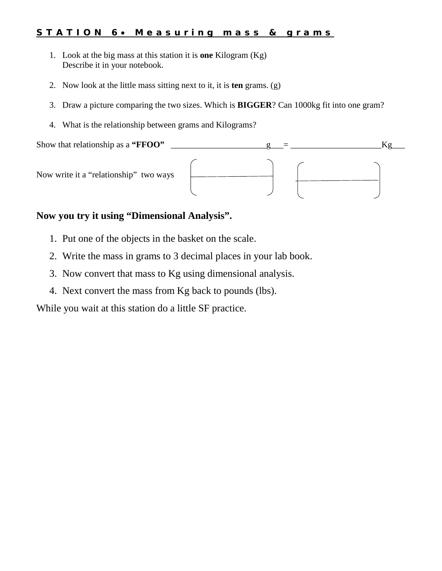#### STATION 6. Measuring mass & grams

- 1. Look at the big mass at this station it is **one** Kilogram (Kg) Describe it in your notebook.
- 2. Now look at the little mass sitting next to it, it is **ten** grams. (g)
- 3. Draw a picture comparing the two sizes. Which is **BIGGER**? Can 1000kg fit into one gram?
- 4. What is the relationship between grams and Kilograms?



### **Now you try it using "Dimensional Analysis".**

- 1. Put one of the objects in the basket on the scale.
- 2. Write the mass in grams to 3 decimal places in your lab book.
- 3. Now convert that mass to Kg using dimensional analysis.
- 4. Next convert the mass from Kg back to pounds (lbs).

While you wait at this station do a little SF practice.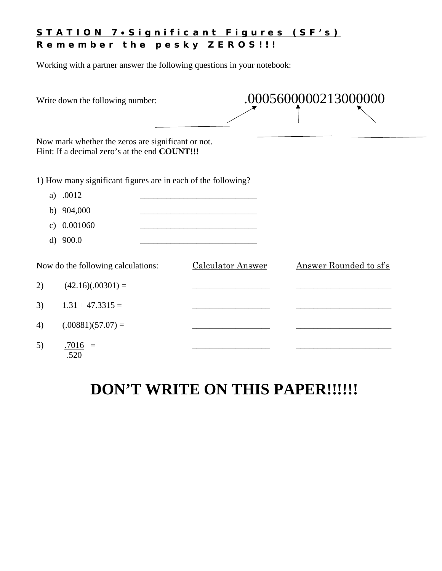#### STATION 7.Significant Figures (SF's) Remember the pesky ZEROS!!!

Working with a partner answer the following questions in your notebook:

| Write down the following number:                                                                    |                          | .0005600000213000000   |  |  |
|-----------------------------------------------------------------------------------------------------|--------------------------|------------------------|--|--|
| Now mark whether the zeros are significant or not.<br>Hint: If a decimal zero's at the end COUNT!!! |                          |                        |  |  |
| 1) How many significant figures are in each of the following?                                       |                          |                        |  |  |
| .0012<br>a)                                                                                         |                          |                        |  |  |
| b) $904,000$                                                                                        |                          |                        |  |  |
| 0.001060<br>C)                                                                                      |                          |                        |  |  |
| d) $900.0$                                                                                          |                          |                        |  |  |
| Now do the following calculations:                                                                  | <b>Calculator Answer</b> | Answer Rounded to sf's |  |  |
| $(42.16)(.00301) =$<br>2)                                                                           |                          |                        |  |  |
| 3)<br>$1.31 + 47.3315 =$                                                                            |                          |                        |  |  |
| $(.00881)(57.07) =$<br>4)                                                                           |                          |                        |  |  |
| 5)<br>$.7016 =$<br>.520                                                                             |                          |                        |  |  |

# **DON'T WRITE ON THIS PAPER!!!!!!**